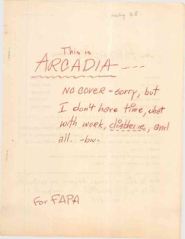$m + 28$ This is RCADIA-NO COVER " SORTY, but I don't have time, what with work, diablerie, and  $all.$  -bw-

For FAPA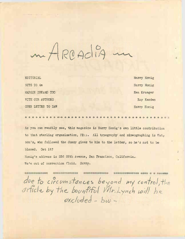m Arcadia in

EDITORIAL Harry Honig NUTS TO 4e Harry Honig MARGIE DREAMS TOO Ken Krueger WITH OUR AUTHORS **Ray Kerden** OPEN LETTER TO DAW Harry Honig

*I*

\*\*\*\*\*\*\*\*\* \*\*\* \*\*\*\*\*\*\*\* \*\*\*\*\*\*\*\*\*\*\*\*\*\*\*\*\*\*\*\*

As you can readily see, this magazine is Harry Honig's own little contribution to that sterling organization, FRPA. All typography and mimeographing is Wat<sub>r</sub> son's, who followed the dummy given to him to the letter, so he's not to be blamed. Get it?

Honig's address is <sup>256</sup> 26th Avenue, San Francisco, California. We'e out of correction fluid. Sorry

аниянная анна аспасыванными альн **NATHERN HONORATORS ESTECHNICIAN SHEW & SOUTH** due to circumstances beyond my control, the article by the bountiful Mr. Lynch will be excluded - bw-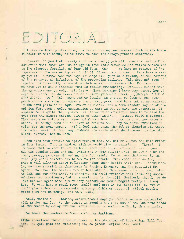three

### EDITORIAL.

I presume that by this time, the reader maving been knocked flat by the blare of color in this issue, he is ready to read the always present editorial.

However, if you look closely (not too closely) you will make the astounding deduction that there are two things in this issue which do not refine themselves to the rigorous formality of dear old fapa. One-------- we have no reviews of the fapazines in the preceeding mailing!!!!! Since, as a number of fans have already put it: "Pretty soon the fapa mailings will just be <sup>a</sup> review, of the reviews, of the reviews, ad infinitum, of the preceeding mailing. This does not mean fapazine is especially outstanding that we will not review it. Far from it! Euc we have yet to see a fapazine that is really outstanding. Two------ please note the extensive use of color this issue. Each fapazine I have come across has always been mimeod in dull—sometimes indistinguishable black. ((Except SAPPHO & STAR-STUNG. -bw)) This seems rather foolish as you can go down to any mimeograph supply store and purchase a can of red, green, and blue ink at approximently the same price as an equal amount of black. While some readers may be of the opinion that such <sup>a</sup> color combination as ours is apt to give one eyestrain, it appeasr to us quite the opposite, as different colors would seem to relieve the eyes from the almost endless stream of black ink!!!!! Witness PLUTO's success. They used more colors each issue and fandom loved it. So, our two new experiments. If enough fans are in favor of this we shall try to outdo ourselves on color for the next issue. ((If I feel like going the job of changing all those ink pads, -bw)) If too many protests are rendered we shall revert to the old, bleak, custom. Let us know.

You also have noticed we again presume that the editor is not the sole writer in this issue. That is another kick we would like to register. ((Where? -bw') It seems that in most fapazines the editor ramble; on for about eight pages on his own Utopian ideas and such while the r ader quietly falls asleep during the long, dreary, process of reading this "classic". We believe that even in the fapa (why not?) editors should try to get material from other fans so they cam have a well balanced issue reflecting other ideas beside their own. Consequently, we have material in this issue by Karden, Krueger, and t <sup>e</sup> bountiful Mr. Lynch. We have also taken <sup>a</sup> rather bold step in this issue with our open lett to DAW, and our "Who Shall We Chose?". We shall probably make life-long enemie. of these two prominents, but it's worth it, by ghu!!!!! Seriously though, we do like DAW and agree with him on many matters and would regret making an enemy of him. We even have a small (very small) soft spot in our heart for 4e, but we don't give <sup>a</sup> damn if we doo make an enemy of him or notI!!!! ((Such naughty words from one so young. Tsk tsk. -bw))

Well, that's all, kiddies, except that I hope you notice we have cooperated with Ashley and Co., to the utmost in keeping the fapa out of the leperous hands of the censor by doing our own little bit of censoring in Mr. Lynch's article.

**We** leave the readers to their vivid imaginations.

**((The** insertions thruout the zine are by the stenciler of this thing, Bill Wat- **\*on.** He gets paid for publishing it, so please forgive him. -bw))

2,35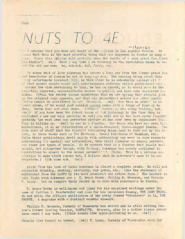*NUTS TO 4E*

I presume that you have all heard of the splitup in Los Angeles Fandom. It cems that this is the most eventful thing that has happened in fandom in many a , .ar. Since this splitup will probably mean the tumble of a once great fan. ((Are you kiddin'? -bw)) Need I say that I am refering to the individual known to every fan old and new; 4e, Ack-Ack, 4sJ, Forry, etc.

 $-$ *N<sub>1</sub>* $C_7$ 

It seems that of late Ackerman has become <sup>a</sup> long cry from the former great fan and benefactor of fandom he not so long ago was. The amazing thing about this aruly unfortunate incident  $((!)$  is that while he is vehemently against all for of what normal people would call entertainment enforces strict puritanical rules around the club pertaining to this, he has an almost, so it would seem to the impartial observer, uncontrollable desire to publish and lust ever unadorned females. ((Will the reader please understand that we are typing this stencil just as the original copy appears, and that all grammatical errors and other sundry faults cannot be attributed to us? Thankyou. -bw)) Now this in itself is no great crime, if he would just publish normal nudes with a tinge of fantasy to them. Buthe does not stop there. ((Where? You're on the wrong trolley, bud. -bw)) If you have seen the latest issue of VoM (although by the time this is published a new one will probably be out) you will see on the back cover (inside) probably the most lewd and perverted picture it has ever been my unpleasure  $((oi)$ This is killing us.  $-\text{bw}$ ) to see in a fanzine. For those who have not seen this masterpiece, it is an illustration of <sup>a</sup> three-breasted, three-legged female. The same sort of stuff that the Falstaff Publishing House used to turn out by the barrel, in their books such as The Erotican, Sexual Relations of Mankind, etc. While their publications dwelt mainly with anthopology and were in some respects interesting ((! again)) and informative, they still appealed to sexual perverts and other low types of people. So it appears that in a fanzine that should deal mainly, not altogether though, with fantasy, Ackerman has openly published illustrations to appeal to the sexual pervert!!!!! (Note: This is a serious accusation to make about anyone but, <sup>I</sup> believe that in Ackerman's case it is appropriate.) ((Oh come now. -bw))

Aside from his love of nudes Ackerman is almost a complete prude. He will not reconcile drinking, smoking, profanity, raw jokes, etc. (See the statement of withdrawal from the LASFS by its most prominent and active fans.) The leaders in this fight with Ackerman are ; T. Bruce Yerke, Phillip R. Bronson, and Francis T. Laney. Let us compare their record up to date with Ackerman's in fandom.

T. Bruce Yerke is well-known and liked for his excellent writings under the name of Carlton J. Fassbeinder and also for his excellent fanmag, THE DAMN THING. He now edits the official publication of the newly formed "Outsiders" in LA, THE KNANVE. <sup>A</sup> magazine with a distinct caustic element.

Phillip R. Bronson, formely of Minnesota has edited and is still editing fandom's former leading fanzine, FANTASITE. Bronson, also is a rather risque persor Ahem--need I say more. ((This sounds like apple-polishing to us. -bw))

Francis ((we forgot to indent. -bw)) T. Laney, formely of Washington ends our

four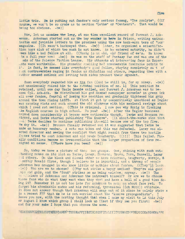little trio. He is putting out fandom's only serious fanmag, "The Acolyte". ((Of course, we won't be so crude as to mention "Lethe" or "Centauri". That would be being too obvious.  $-\text{bw}$ )

Now, let us examine the long, at one time excellent record of Forrest J. Ackerman. Ackerman started out as the boy wonder up **here** in Frisco, writing enthusiastic and juvinile letters to the prozines using the now hack-worn term of "our" magazine. ((It wasn't hackneyed then, -bw)) Later, he organized a scientific tion boys club of which too much is not known. As he entered maturity, he didn't weem like a bad fellow at all. ((Honig is an old, old friend of 4e's. He known tm a full year now! -bw)) He was on the staff of Fantasy Fan and was one of the ads of the Science Fiction League. His attempts at interesting fans in Esperanto were worthwhile. His phonetic spelling had innumerable favorable points to it. In fact, he seemed like everybody's good fellow, staying completely ou t of <sup>f</sup> .ch controversies raging in fandom as Michelism and others, regarding them with a rather amused outlook and letting both sides present their agument.

Soon everybody regarded him as the fan  $((and he still is, for my money, -bw))$ and unanimously raised him to the coveted position of no. 1! This position he retained, until one day Uncle Sammie called, and Forrest J. Ackerman was to become Cpl. Ack-Ack. He distributed his god damned newspaper scrawled in green ink all over fandom, fearful of losing his position and gradually tightened his grip around the then rising LASFS. At first it got by comparitively unnoticed as Degler was causing riots and such around the old clubroom with his maniacal ravings about which I need not mention. ((This is criminal. I now see why Honig is flunking Lis English courses in high school. Do you? -Bw)) After the Degler business calmed down considerably it became more noticeable though. Yerke and Bronson resigned, and Yerke started publishing "The Knanve". ((A shoot-the-works zine that --if Yerke decides to continue publishing it—will become one of the top five. We day it.  $-bw$ )) Bronson finally returned and it was suggested that. Yerke be made an honorary member. A vote was taken and this was defeated. Laney was elected director and seeing the conflict that might result from these two hostile forces tried to oust Ackerman and old prude Daugherty.  $((!!))$  This failed. Finally conditions became so irreconcilable that the larger proportion of fans resigned en masse. ((Where have you been? -bw))

So, today we have a picture of thes two groups. One, shining with such outtanding names on its list as Yerke, Laney, Bronson, Brown, Fern, Russell, Lazar ..id others. On the bleak and dismal other we have Ackerman, Daugherty, Morojo, & ssibly Ronald Clyne, though I believe he is impartial, and a throng of people Ackerman has dragged in who know little or nothing about fandom. ((They'll learn,  $(-b\pi)$ ) Who are we to choose? ((Why not strike a happy medium? They're all good uys and gals, and the "feud" strikes me as boing asinine, anyway. -bw)) The be u, lickers of Ackerman and Ackerman the introvert himself? Or are we to choose those fans who do what they want when they want and have a hell of a good time doing it? Remember it is not too late for Ackdrman to make an about face yet. To forget his abominable nudes and his reforming, tyrannical  $((oh No!!))$  attitude. It does not appear though that Ackerman will snap out of it since he calmly state <sup>s</sup> in a recent FFF that is he is not worried about the "knanve propagandists". I leave you now, with the parting thought that when I make my visit to LA this July or August I know which group I shall look up ((not if they see you first! -bw)) and for your sake I hope that you choose the same.

T.

 $\cap$ HSAYYOUKIDTHISISTHEEMDAREN'TYOUHAPPYYESTHISISFINALLYITYOUMAYNOVTREJOICEANDBEHAPPY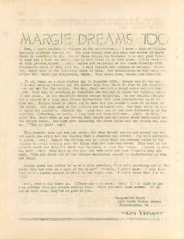## MARGE DREAMS

Now, I don't profess to believe in the supernatural. I have a kind of William Seabrook attitude towards it. But some things make you stop and wonder if maybe there is something to it. One of these things has happened to a very good friend of mine and I have her permission to tell about it so here goes. ((This chap rever took grammar, either. -bw)) Anyone not believing me can check directly with Marguerite short if they wish to. I will furnish her address on request. Remember, every word in the following story is true. For convenience we will call her mother Mrs. Short and Marguerite, Magie. This saves time, space, and stencils.

It all began on <sup>a</sup> cold wintery day in December 1953. ?argie was in the midst of a very serious ailment and the doctor told Mrs. Short to stay by her daughter' side and vait for the crisis. Now Mrs. Short was not a yound woman and was very ired from days of watching so therefore she was not to blame for falling asleep an her chair. In the meanwhile Margie became delirious. In her delirium Margie had <sup>a</sup> vision of <sup>a</sup> long dead friend approaching with arms outstretched as if to take her. Margie tried to reach out to here but she couldn't make it as much as she tried. She sank back on the pillows and hollered out. She then tried to make it again but couldn't. Finally the .. sion went out of the room followed by an icy coldness. ((Wearing, no doubt, a long cape and knee-britches. -bw).) At this point Mrs. Short woke up and seeing that Margie was delirious shook here until she too became awake. And with here awakening the fever broke and the crisis was passed.  $('Boy or girl? -bw))$ 

This however does not end our story, for when Margie was up and around and about again she still had the feeling that <sup>a</sup> presence was around. ((A bill collector, no doubt, -bw)) Indeed the feeling was so strong that she stepped aside in the hallway to avoid bumping into the thing that she knew was there. This kept up for aboutba month and Margie's nerve was beginning to show the strain. ((About to snap, eh, bub? -bw)) This kept up for only one week more and then Margie's baby son died. With his death all of the stragne happenings ceased as mysteriously as they had begun.

Margie ended her letter to me with this question, "Was this something out of this world that had made me a part of the drama?" Frankly, I don't know. I only know that it's <sup>a</sup> wonder Margie is still in her right mind. <sup>I</sup> don't think that I'd be.  $((!) )$ 

Well, that's all there is. ((There ain't no more. -bw)) I ' d like to get some letters from you people reading this. Maybe you have some answer. If so let me have them, they're no good to you.

> Marguerite Short. 1460 North Felton Street Philadelphia, Pa. . . . .

> > —ken Kreuger

.'rHATAWASTEOFPERFECTLYGOODSTENCILSANDTWENTYPOUNDPAPERTHISISDC'N' TYOUTHINKORDOYOU . ?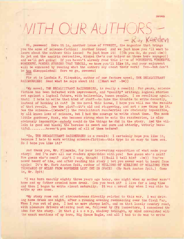seven

# *OTH OUR AUTHORS -*

Hi, peewees! Here it is, another issue of WTWWSTT, the magazine that brings you the acme of science-fiction! Another issue! And we just know you 'll want to learn about the authors this issue! We just know it! ((Oh you do, do you! -bw)) So jet out the aspirin derivative, Hinkel (he's our helper on these here voyages!) and we'll get going! If you haven't already read this issue of WONDERFUL WONDERFUL WONDERFUL WONDER STORIES THAT THRILL, we know you'll like it, and your enjoyment will be enhanced by reading what the authors say about their work! Yes -- but don't be too disappointed! Here we go, peewees!

Fir st is Loofmis F. Flimpskin, author of our feature novel, THE RECALCITRANT RAZZEERRIEB! Read what he says about it!  $((Must we? -bw))$ 

"My novel, THE RECALCITRANT RAZZBERRIES, is really a revolt! For years, science fiction has been infested with improvement, and "quality" writing; logical stories set against a logical future, with believable, human people. I am revolting againt. that! I hate to write that kind of stuff--to take the trouble to write decently, instead of hacking it out? In the novel this issue, I hope you will see the results of that revolt. See the plot?--it's old and staggering, and not a new thing in it. See the science—((where?)) the recalcitrant razzberries are obviously impossible, by all known laws of science, but I had the courage to write about them. The meek little gardener, Hank, who becomes strong when he eats the razzberries, is also obviously impossible—nobody could do the things he did in the story. And the villain is good and black; the heroine is sweet and pure and utterly, utterly beautiful..........haven't you heard of all of them before?

"So, THE RECALCITRANT RAZZBERRIES is <sup>a</sup> revolt! I certainly hope you like it, because I hate to work writing science-fiction—this type is so easy to turn out. So I hope you like it!"

And thank you, Mr. Flimpkin, for your interesting exposition of what made your story! And I'm sure all our readers sympathize with you! Now guess who's next? Now guess who's next? Ain't I coy, though! ((Shall I tell him? -bw)) You've never heard of him, and after reading his story I bet you never want to heard from again! It's Mr. Hark Asston Spit, author of MILLIONS OF MIDLIONS OF MILLIONS FROM THOUSANDS OF MILES FROM NOWHERE LOST OUT IN SPACE! (By Hark Asston Spit.) Come in, Mr. Spit!

"I was born exactly eighty three years ago today, one night when my mother wasn't home and my father crawled home drunk. Can you beat it? I live for a long time and then I began to write almost naturally. It was <sup>a</sup> proud day when I was able to write my own name.

"My story rose out of circumstances directly related to this war. I was driving home drunk one night, after a rousing evening reminescing over the Civil  $r_a$ , When I ran out of gas, I had no more stamps left, and on that lonely country road, with pleasure drivers whizzing past me, followed by OPA inspectors, I conceived the idea for the story. In that  $g \text{ 1 o o m } y$ , shadowy twilight, my mind convuluted with the exact emotions of my hero, Big Space Eagle, and all I had to do was to write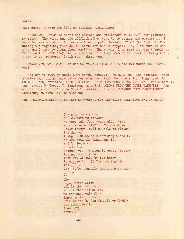#### them down. I hope you like my literary production!

"Finally, I wish to thank the editors and publishers of WWWWSTT for printing my story. The work, and the difficultythey went to to obtain and prepare it, <sup>I</sup> am sure, was not equal to the small sum I paid them—ten times the cost of producing the magazine, plus  $$5,000$  bonus for the linotyper. No, 1 am sure it wann't, and I wish to thank them heartily. Thank you. I am sure it wasn't equal to the amount of work they did, and the trouble they went to in order to bring the s story to you readers. Thank You. Thank you."

Thank you, Mr. Spit! It was no trouble at all! It was well worth it! Thank you!

And now we must go until next month, prewees! We must go! But remember, more stories next month—more value for your two bits! We have a thrilling novel by Gunt G. Goon, entitled, WHEN OUR ATOMIC REPULSORS WERE YOUNG AND GAY! And a thrilling novelet by Teodor T. Tanktown, entitled, MORONS FROM THE OUTER DARKNESS! And a thrilling short story by Yudi Y Yeeaakk, entitled, STINKER FROM STRRPHANGER! Remember, be with us! Be with us!

THE-CONGREGATIONSWILLRISEANDSINGNOWFORATLASTTHISENEXCUSABLESATIREISFINISHEDYEAH

The night was young and so were we because we were only five years old. (You know, when we started this pome we never thought weSd be able to finish the damned thing. But we're surprising ourself. We are actually finishing it. And by leaps and ■bounds too. Indedd yes. ((Which is pretty rotten typing but w. know that you'll only be too happy to excuse it. (((The bad English  $\{to\infty, \{\})\}$ ) Yes, we're actually getting near the bottom of the page, which after all is the main point in all this fol-de-rol. We now have only five lines to fill. Four.) This is not be Don Marquis or Archie but apologies to them both anyway.

 $-bw$ 

### eight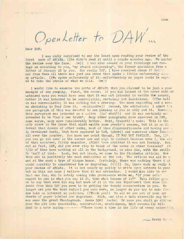nine

OpenLetter to DAW

Dear DAW:

I was midly surprised to say the least upon reading your review of the first ssue of ARCANA. ((He didn't read it until a couple minutes ago. We quoted the review over the fone. -bw)) I was also amused at your ramblings and ravings on according to you, "my stupid sex-yawping", the former quotation from a letter of January 16 by you. Now really DAW, I have received about 17 letter and from them all there was just one other that spoke a little unfavorably abou. my article. ((We spoke unfavorably of it—unfortunately no paper could be expec ed to take the strain of what we said.  $-bw$ ))

I would like to examine the parts of ARCANA that you claimed to be just a poor example of sex yawping. First, the cover: if you had looked at the cover without unbiased eyes you would have seen that it was not intended to excite the senses, rather it was intended to be surrealistic, certainly not lascivious. ((The hell it was surrealistic; it was nothing but <sup>a</sup> drawing: The moon exploding and <sup>a</sup> woman shrinking in fear from it. -maliano&bw)) Second, the editorial: I admit t <sup>a</sup> one paragraph of this was devoted to sez yawping as you so ably put it. However, this paragraph was intended as a satire ((of what?)) and it was certainly not intended to be "God's own truth". Many other paragraphs have appeared in FMZ, some worse, many more considerably better. Next, Crozetti's nude: This is the only piece in the issue that might excite some peonle's senses, but it is no di ferent that dozens of other nudes, most of them disproportionate and having ove ly developed busts, that have appeared in VoM, (phew!) and numerous other fanzn. • all over the country. You have one point though, IT WAS NOT FANTASY. Yes, DAW. you can go sit over in the corner now and sigh in content because even I, the edi of that accursed, filthy magazine, ARCANA have admitted it was not fantasy. But. not so fast, DAW, did you ever stop to think of the nudes in other fanzines? Abi 7/10 of them have nothing at all in the background, as mine did, with the skulls So 'nuff of that. Last, but not least, we come to the Stapledon article: Now this one is positively the most rediculous of the lot. The article was all humment and at the most <sup>a</sup> type of risque humor. Certainly, there was nothing there t' at could possibly be considered low or degrading.  $((!!))$  So, there ends my reply t. your review of ARCANA. It is not usuaiy my policy to write open letters to peop but in this one case I believe that it was advisable. I would also like to *spy* that one fan, who is lately coming into prominence wrote me, "If your polic regard to sex is what you say it it, then what became of it?" This fellow gees on to say that even his mag had more of it in the sex department than mine did. Aside from this DAV you seem to be getting the touchy conservative in you. No longer are you the bold radical you once were, no longer do you try to make fandom take an interest in politics. ((Thank god)) No all we see out of your are sheets of paper labeled Ace Magazines. Blah, and also a thin miserable mag that was once the great Phantagraph. Awake DAW! Awake! Or soon you shall go sliding down the pit into inactivity, conservatism, prudishness, that eventually will lead to a note saying------------- "There comes a time in the life of every caterpille